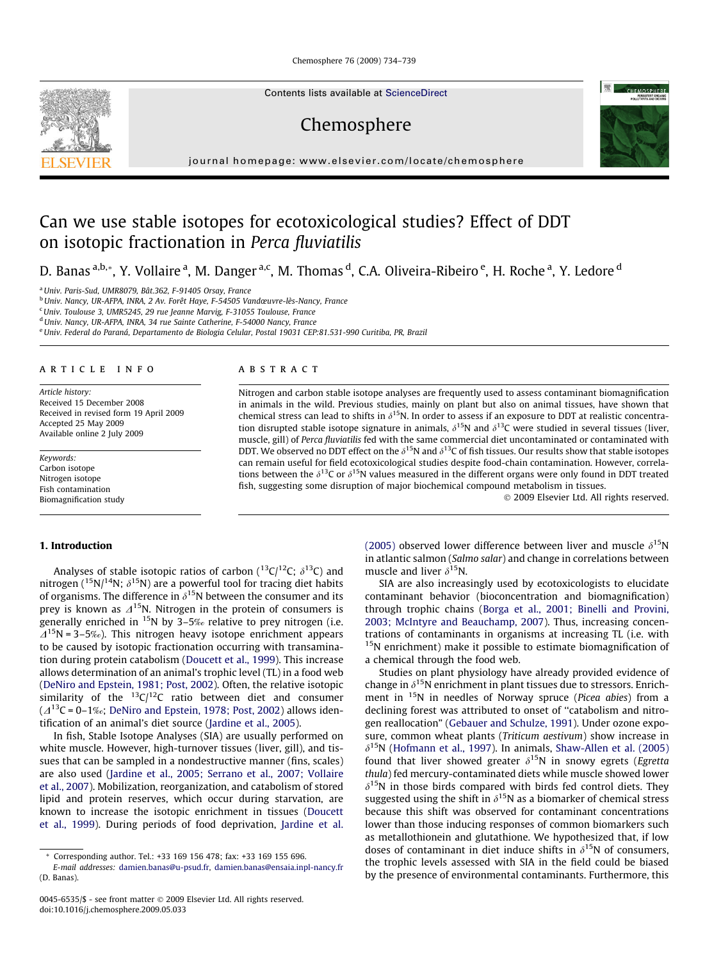Chemosphere 76 (2009) 734–739

Contents lists available at [ScienceDirect](http://www.sciencedirect.com/science/journal/00456535)

Chemosphere



journal homepage: [www.elsevier.com/locate/chemosphere](http://www.elsevier.com/locate/chemosphere)

# Can we use stable isotopes for ecotoxicological studies? Effect of DDT on isotopic fractionation in Perca fluviatilis

D. Banas <sup>a,b,</sup>\*, Y. Vollaire <sup>a</sup>, M. Danger <sup>a,c</sup>, M. Thomas <sup>d</sup>, C.A. Oliveira-Ribeiro <sup>e</sup>, H. Roche <sup>a</sup>, Y. Ledore <sup>d</sup>

<sup>a</sup> Univ. Paris-Sud, UMR8079, Bât.362, F-91405 Orsay, France

<sup>b</sup>Univ. Nancy, UR-AFPA, INRA, 2 Av. Forêt Haye, F-54505 Vandœuvre-lès-Nancy, France

<sup>c</sup>Univ. Toulouse 3, UMR5245, 29 rue Jeanne Marvig, F-31055 Toulouse, France

<sup>d</sup> Univ. Nancy, UR-AFPA, INRA, 34 rue Sainte Catherine, F-54000 Nancy, France

e Univ. Federal do Paraná, Departamento de Biologia Celular, Postal 19031 CEP:81.531-990 Curitiba, PR, Brazil

# article info

Article history: Received 15 December 2008 Received in revised form 19 April 2009 Accepted 25 May 2009 Available online 2 July 2009

Keywords: Carbon isotope Nitrogen isotope Fish contamination Biomagnification study

# 1. Introduction

Analyses of stable isotopic ratios of carbon ( $^{13}C/^{12}C$ ;  $\delta^{13}C$ ) and nitrogen ( $^{15}N/^{14}N$ ;  $\delta^{15}N$ ) are a powerful tool for tracing diet habits of organisms. The difference in  $\delta^{15}N$  between the consumer and its prey is known as  $\Delta^{15}$ N. Nitrogen in the protein of consumers is generally enriched in  $15N$  by 3–5‰ relative to prey nitrogen (i.e.  $\Delta^{15}$ N = 3–5‰). This nitrogen heavy isotope enrichment appears to be caused by isotopic fractionation occurring with transamination during protein catabolism ([Doucett et al., 1999](#page-5-0)). This increase allows determination of an animal's trophic level (TL) in a food web ([DeNiro and Epstein, 1981; Post, 2002](#page-5-0)). Often, the relative isotopic similarity of the  $^{13}C/^{12}C$  ratio between diet and consumer  $(\Delta^{13}C = 0-1\%)$ ; [DeNiro and Epstein, 1978; Post, 2002\)](#page-5-0) allows identification of an animal's diet source ([Jardine et al., 2005](#page-5-0)).

In fish, Stable Isotope Analyses (SIA) are usually performed on white muscle. However, high-turnover tissues (liver, gill), and tissues that can be sampled in a nondestructive manner (fins, scales) are also used ([Jardine et al., 2005; Serrano et al., 2007; Vollaire](#page-5-0) [et al., 2007\)](#page-5-0). Mobilization, reorganization, and catabolism of stored lipid and protein reserves, which occur during starvation, are known to increase the isotopic enrichment in tissues [\(Doucett](#page-5-0) [et al., 1999](#page-5-0)). During periods of food deprivation, [Jardine et al.](#page-5-0)

#### **ABSTRACT**

Nitrogen and carbon stable isotope analyses are frequently used to assess contaminant biomagnification in animals in the wild. Previous studies, mainly on plant but also on animal tissues, have shown that chemical stress can lead to shifts in  $\delta^{15}N$ . In order to assess if an exposure to DDT at realistic concentration disrupted stable isotope signature in animals,  $\delta^{15}N$  and  $\delta^{13}C$  were studied in several tissues (liver, muscle, gill) of Perca fluviatilis fed with the same commercial diet uncontaminated or contaminated with DDT. We observed no DDT effect on the  $\delta^{15}N$  and  $\delta^{13}C$  of fish tissues. Our results show that stable isotopes can remain useful for field ecotoxicological studies despite food-chain contamination. However, correlations between the  $\delta^{13}C$  or  $\delta^{15}N$  values measured in the different organs were only found in DDT treated fish, suggesting some disruption of major biochemical compound metabolism in tissues.

- 2009 Elsevier Ltd. All rights reserved.

[\(2005\)](#page-5-0) observed lower difference between liver and muscle  $\delta^{15}N$ in atlantic salmon (Salmo salar) and change in correlations between muscle and liver  $\delta^{15}N$ .

SIA are also increasingly used by ecotoxicologists to elucidate contaminant behavior (bioconcentration and biomagnification) through trophic chains [\(Borga et al., 2001; Binelli and Provini,](#page-5-0) [2003; McIntyre and Beauchamp, 2007\)](#page-5-0). Thus, increasing concentrations of contaminants in organisms at increasing TL (i.e. with  $15N$  enrichment) make it possible to estimate biomagnification of a chemical through the food web.

Studies on plant physiology have already provided evidence of change in  $\delta^{15}N$  enrichment in plant tissues due to stressors. Enrichment in <sup>15</sup>N in needles of Norway spruce (Picea abies) from a declining forest was attributed to onset of ''catabolism and nitrogen reallocation" [\(Gebauer and Schulze, 1991\)](#page-5-0). Under ozone exposure, common wheat plants (Triticum aestivum) show increase in  $\delta^{15}$ N ([Hofmann et al., 1997](#page-5-0)). In animals, [Shaw-Allen et al. \(2005\)](#page-5-0) found that liver showed greater  $\delta^{15}N$  in snowy egrets (Egretta thula) fed mercury-contaminated diets while muscle showed lower  $\delta^{15}$ N in those birds compared with birds fed control diets. They suggested using the shift in  $\delta^{15}N$  as a biomarker of chemical stress because this shift was observed for contaminant concentrations lower than those inducing responses of common biomarkers such as metallothionein and glutathione. We hypothesized that, if low doses of contaminant in diet induce shifts in  $\delta^{15}N$  of consumers, the trophic levels assessed with SIA in the field could be biased by the presence of environmental contaminants. Furthermore, this



<sup>\*</sup> Corresponding author. Tel.: +33 169 156 478; fax: +33 169 155 696.

E-mail addresses: [damien.banas@u-psud.fr,](mailto:damien.banas@u-psud.fr) [damien.banas@ensaia.inpl-nancy.fr](mailto:damien.banas@ensaia.inpl-nancy.fr) (D. Banas).

<sup>0045-6535/\$ -</sup> see front matter © 2009 Elsevier Ltd. All rights reserved. doi:10.1016/j.chemosphere.2009.05.033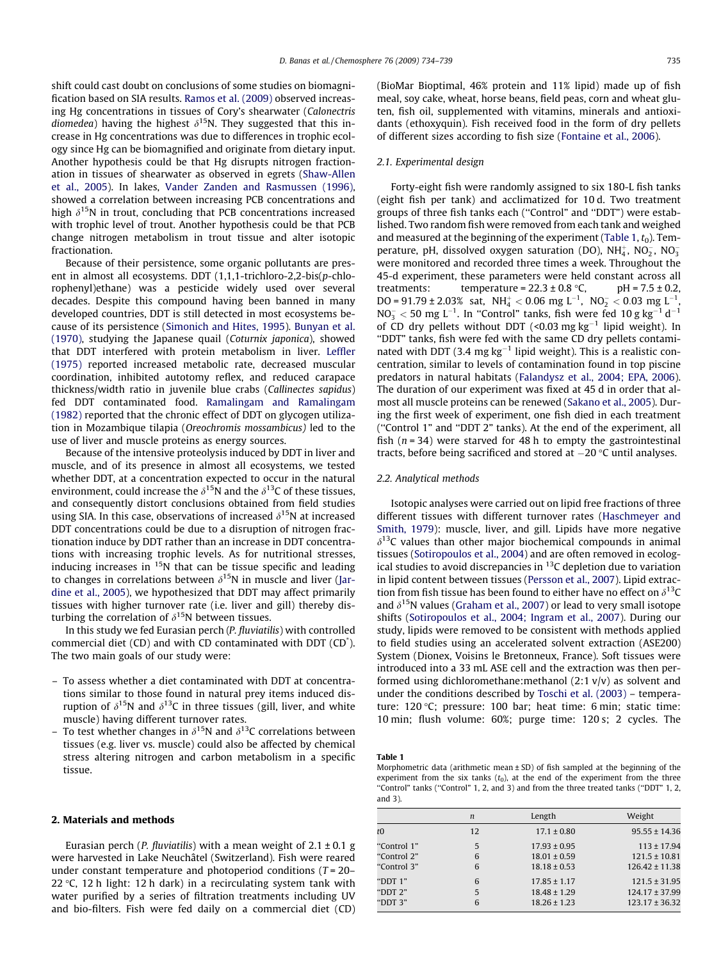<span id="page-1-0"></span>shift could cast doubt on conclusions of some studies on biomagnification based on SIA results. [Ramos et al. \(2009\)](#page-5-0) observed increasing Hg concentrations in tissues of Cory's shearwater (Calonectris diomedea) having the highest  $\delta^{15}N$ . They suggested that this increase in Hg concentrations was due to differences in trophic ecology since Hg can be biomagnified and originate from dietary input. Another hypothesis could be that Hg disrupts nitrogen fractionation in tissues of shearwater as observed in egrets [\(Shaw-Allen](#page-5-0) [et al., 2005\)](#page-5-0). In lakes, [Vander Zanden and Rasmussen \(1996\),](#page-5-0) showed a correlation between increasing PCB concentrations and high  $\delta^{15}N$  in trout, concluding that PCB concentrations increased with trophic level of trout. Another hypothesis could be that PCB change nitrogen metabolism in trout tissue and alter isotopic fractionation.

Because of their persistence, some organic pollutants are present in almost all ecosystems. DDT (1,1,1-trichloro-2,2-bis(p-chlorophenyl)ethane) was a pesticide widely used over several decades. Despite this compound having been banned in many developed countries, DDT is still detected in most ecosystems because of its persistence [\(Simonich and Hites, 1995\)](#page-5-0). [Bunyan et al.](#page-5-0) [\(1970\),](#page-5-0) studying the Japanese quail (Coturnix japonica), showed that DDT interfered with protein metabolism in liver. [Leffler](#page-5-0) [\(1975\)](#page-5-0) reported increased metabolic rate, decreased muscular coordination, inhibited autotomy reflex, and reduced carapace thickness/width ratio in juvenile blue crabs (Callinectes sapidus) fed DDT contaminated food. [Ramalingam and Ramalingam](#page-5-0) [\(1982\)](#page-5-0) reported that the chronic effect of DDT on glycogen utilization in Mozambique tilapia (Oreochromis mossambicus) led to the use of liver and muscle proteins as energy sources.

Because of the intensive proteolysis induced by DDT in liver and muscle, and of its presence in almost all ecosystems, we tested whether DDT, at a concentration expected to occur in the natural environment, could increase the  $\delta^{15}$ N and the  $\delta^{13}$ C of these tissues, and consequently distort conclusions obtained from field studies using SIA. In this case, observations of increased  $\delta^{15}N$  at increased DDT concentrations could be due to a disruption of nitrogen fractionation induce by DDT rather than an increase in DDT concentrations with increasing trophic levels. As for nutritional stresses, inducing increases in  $15N$  that can be tissue specific and leading to changes in correlations between  $\delta^{15}N$  in muscle and liver [\(Jar](#page-5-0)[dine et al., 2005\)](#page-5-0), we hypothesized that DDT may affect primarily tissues with higher turnover rate (i.e. liver and gill) thereby disturbing the correlation of  $\delta^{15}N$  between tissues.

In this study we fed Eurasian perch (P. fluviatilis) with controlled commercial diet (CD) and with CD contaminated with DDT (CD\* ). The two main goals of our study were:

- To assess whether a diet contaminated with DDT at concentrations similar to those found in natural prey items induced disruption of  $\delta^{15}N$  and  $\delta^{13}C$  in three tissues (gill, liver, and white muscle) having different turnover rates.
- To test whether changes in  $\delta^{15}N$  and  $\delta^{13}C$  correlations between tissues (e.g. liver vs. muscle) could also be affected by chemical stress altering nitrogen and carbon metabolism in a specific tissue.

#### 2. Materials and methods

Eurasian perch (*P. fluviatilis*) with a mean weight of  $2.1 \pm 0.1$  g were harvested in Lake Neuchâtel (Switzerland). Fish were reared under constant temperature and photoperiod conditions  $(T = 20 -$ 22 °C, 12 h light: 12 h dark) in a recirculating system tank with water purified by a series of filtration treatments including UV and bio-filters. Fish were fed daily on a commercial diet (CD) (BioMar Bioptimal, 46% protein and 11% lipid) made up of fish meal, soy cake, wheat, horse beans, field peas, corn and wheat gluten, fish oil, supplemented with vitamins, minerals and antioxidants (ethoxyquin). Fish received food in the form of dry pellets of different sizes according to fish size ([Fontaine et al., 2006](#page-5-0)).

## 2.1. Experimental design

Forty-eight fish were randomly assigned to six 180-L fish tanks (eight fish per tank) and acclimatized for 10 d. Two treatment groups of three fish tanks each (''Control" and ''DDT") were established. Two random fish were removed from each tank and weighed and measured at the beginning of the experiment (Table 1,  $t_0$ ). Temperature, pH, dissolved oxygen saturation (DO),  $NH_4^+$ ,  $NO_2^-$ ,  $NO_3^$ were monitored and recorded three times a week. Throughout the 45-d experiment, these parameters were held constant across all treatments: temperature =  $22.3 \pm 0.8$  °C, pH =  $7.5 \pm 0.2$ , DO = 91.79 ± 2.03% sat,  $NH_4^+ < 0.06$  mg L<sup>-1</sup>, NO<sub>2</sub>  $< 0.03$  mg L<sup>-1</sup> ,  $\mathsf{NO_3^-} < 50 \mathsf{~mg}~\mathsf{L}^{-1}$ . In "Control" tanks, fish were fed 10 g kg $^{-1}$  d $^{-1}$ of CD dry pellets without DDT  $\left($  <0.03 mg kg<sup>-1</sup> lipid weight). In ''DDT" tanks, fish were fed with the same CD dry pellets contaminated with DDT (3.4 mg  $kg^{-1}$  lipid weight). This is a realistic concentration, similar to levels of contamination found in top piscine predators in natural habitats ([Falandysz et al., 2004; EPA, 2006\)](#page-5-0). The duration of our experiment was fixed at 45 d in order that almost all muscle proteins can be renewed ([Sakano et al., 2005](#page-5-0)). During the first week of experiment, one fish died in each treatment (''Control 1" and ''DDT 2" tanks). At the end of the experiment, all fish  $(n = 34)$  were starved for 48 h to empty the gastrointestinal tracts, before being sacrificed and stored at  $-20\,^{\circ}\textrm{C}$  until analyses.

#### 2.2. Analytical methods

Isotopic analyses were carried out on lipid free fractions of three different tissues with different turnover rates ([Haschmeyer and](#page-5-0) [Smith, 1979\)](#page-5-0): muscle, liver, and gill. Lipids have more negative  $\delta^{13}$ C values than other major biochemical compounds in animal tissues [\(Sotiropoulos et al., 2004](#page-5-0)) and are often removed in ecological studies to avoid discrepancies in  $^{13}$ C depletion due to variation in lipid content between tissues [\(Persson et al., 2007](#page-5-0)). Lipid extraction from fish tissue has been found to either have no effect on  $\delta^{13}C$ and  $\delta^{15}$ N values [\(Graham et al., 2007](#page-5-0)) or lead to very small isotope shifts [\(Sotiropoulos et al., 2004; Ingram et al., 2007](#page-5-0)). During our study, lipids were removed to be consistent with methods applied to field studies using an accelerated solvent extraction (ASE200) System (Dionex, Voisins le Bretonneux, France). Soft tissues were introduced into a 33 mL ASE cell and the extraction was then performed using dichloromethane: methanol  $(2:1 \text{ v/v})$  as solvent and under the conditions described by [Toschi et al. \(2003\)](#page-5-0) – temperature:  $120 °C$ ; pressure:  $100$  bar; heat time: 6 min; static time: 10 min; flush volume: 60%; purge time: 120 s; 2 cycles. The

Table 1

Morphometric data (arithmetic mean ± SD) of fish sampled at the beginning of the experiment from the six tanks  $(t_0)$ , at the end of the experiment from the three "Control" tanks ("Control" 1, 2, and 3) and from the three treated tanks ("DDT" 1, 2, and 3).

|                                           | n           | Length                                                   | Weight                                                        |
|-------------------------------------------|-------------|----------------------------------------------------------|---------------------------------------------------------------|
| $t\Omega$                                 | 12          | $17.1 \pm 0.80$                                          | $95.55 \pm 14.36$                                             |
| "Control 1"<br>"Control 2"<br>"Control 3" | 5<br>6<br>6 | $17.93 \pm 0.95$<br>$18.01 \pm 0.59$<br>$18.18 \pm 0.53$ | $113 \pm 17.94$<br>$121.5 \pm 10.81$<br>$126.42 \pm 11.38$    |
| "DDT 1"<br>"DDT 2"<br>"DDT 3"             | 6<br>5<br>6 | $17.85 \pm 1.17$<br>$18.48 \pm 1.29$<br>$18.26 \pm 1.23$ | $121.5 \pm 31.95$<br>$124.17 \pm 37.99$<br>$123.17 \pm 36.32$ |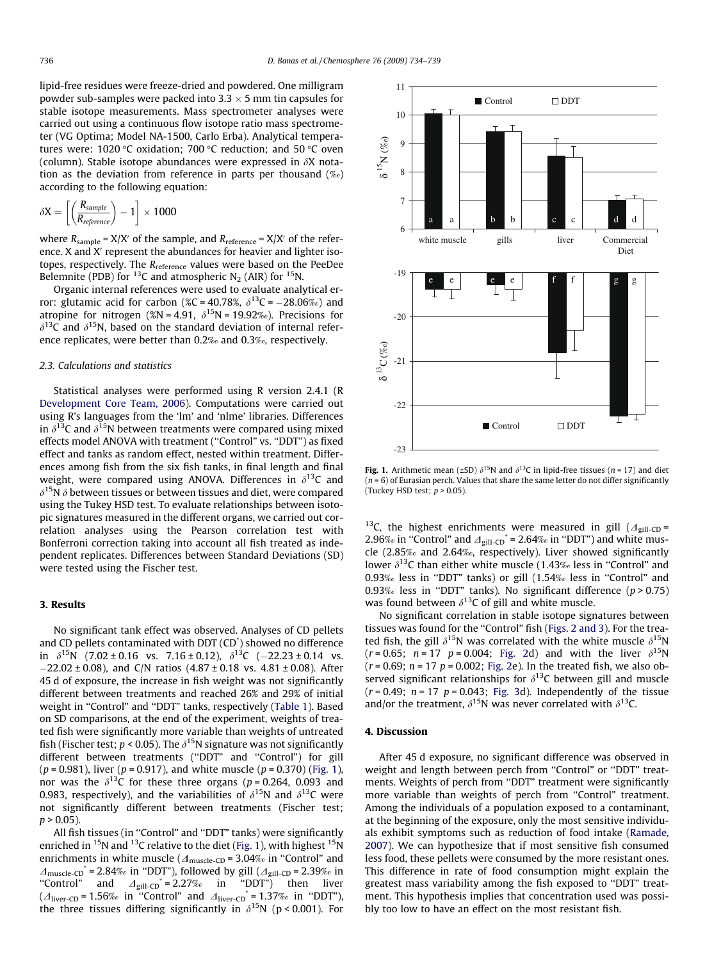<span id="page-2-0"></span>lipid-free residues were freeze-dried and powdered. One milligram powder sub-samples were packed into  $3.3 \times 5$  mm tin capsules for stable isotope measurements. Mass spectrometer analyses were carried out using a continuous flow isotope ratio mass spectrometer (VG Optima; Model NA-1500, Carlo Erba). Analytical temperatures were:  $1020 °C$  oxidation; 700 °C reduction; and 50 °C oven (column). Stable isotope abundances were expressed in  $\delta X$  notation as the deviation from reference in parts per thousand (‰) according to the following equation:

$$
\delta X = \left[\left(\frac{R_{\textit{sample}}}{R_{\textit{reference}}}\right) - 1\right] \times 1000
$$

where  $R_{sample} = X/X'$  of the sample, and  $R_{reference} = X/X'$  of the reference. X and X' represent the abundances for heavier and lighter isotopes, respectively. The R<sub>reference</sub> values were based on the PeeDee Belemnite (PDB) for <sup>13</sup>C and atmospheric N<sub>2</sub> (AIR) for <sup>15</sup>N.

Organic internal references were used to evaluate analytical error: glutamic acid for carbon (%C = 40.78%,  $\delta^{13}$ C =  $-28.06\%$ ) and atropine for nitrogen (%N = 4.91,  $\delta^{15}$ N = 19.92‰). Precisions for  $\delta^{13}$ C and  $\delta^{15}$ N, based on the standard deviation of internal reference replicates, were better than 0.2‰ and 0.3‰, respectively.

### 2.3. Calculations and statistics

Statistical analyses were performed using R version 2.4.1 (R [Development Core Team, 2006](#page-5-0)). Computations were carried out using R's languages from the 'lm' and 'nlme' libraries. Differences in  $\delta^{13}$ C and  $\delta^{15}$ N between treatments were compared using mixed effects model ANOVA with treatment (''Control" vs. ''DDT") as fixed effect and tanks as random effect, nested within treatment. Differences among fish from the six fish tanks, in final length and final weight, were compared using ANOVA. Differences in  $\delta^{13}C$  and  $\delta^{15}$ N  $\delta$  between tissues or between tissues and diet, were compared using the Tukey HSD test. To evaluate relationships between isotopic signatures measured in the different organs, we carried out correlation analyses using the Pearson correlation test with Bonferroni correction taking into account all fish treated as independent replicates. Differences between Standard Deviations (SD) were tested using the Fischer test.

# 3. Results

No significant tank effect was observed. Analyses of CD pellets and CD pellets contaminated with DDT (CD\* ) showed no difference in  $\delta^{15}N$  (7.02 ± 0.16 vs. 7.16 ± 0.12),  $\delta^{13}C$  (-22.23 ± 0.14 vs. -22.02 ± 0.08), and C/N ratios (4.87 ± 0.18 vs. 4.81 ± 0.08). After 45 d of exposure, the increase in fish weight was not significantly different between treatments and reached 26% and 29% of initial weight in "Control" and "DDT" tanks, respectively ([Table 1](#page-1-0)). Based on SD comparisons, at the end of the experiment, weights of treated fish were significantly more variable than weights of untreated fish (Fischer test;  $p < 0.05$ ). The  $\delta^{15}$ N signature was not significantly different between treatments (''DDT" and ''Control") for gill  $(p = 0.981)$ , liver  $(p = 0.917)$ , and white muscle  $(p = 0.370)$  (Fig. 1), nor was the  $\delta^{13}$ C for these three organs (p = 0.264, 0.093 and 0.983, respectively), and the variabilities of  $\delta^{15}N$  and  $\delta^{13}C$  were not significantly different between treatments (Fischer test;  $p > 0.05$ ).

All fish tissues (in ''Control" and ''DDT" tanks) were significantly enriched in  $^{15}N$  and  $^{13}C$  relative to the diet (Fig. 1), with highest  $^{15}N$ enrichments in white muscle ( $\Delta$ <sub>muscle-CD</sub> = 3.04‰ in "Control" and  $\Delta_{\rm muscle-CD}^*$  = 2.84‰ in "DDT"), followed by gill ( $\Delta_{\rm girl-CD}$  = 2.39‰ in "Control" and  $\Delta_{\text{gill-CD}}^* = 2.27\%$  in "DDT") then liver  $(\Delta_{\text{liver-CD}} = 1.56\%$  in "Control" and  $\Delta_{\text{liver-CD}}^* = 1.37\%$  in "DDT"), the three tissues differing significantly in  $\delta^{15}N$  (p < 0.001). For



Fig. 1. Arithmetic mean (±SD)  $\delta^{15}N$  and  $\delta^{13}C$  in lipid-free tissues (n = 17) and diet  $(n = 6)$  of Eurasian perch. Values that share the same letter do not differ significantly (Tuckey HSD test:  $n > 0.05$ ).

<sup>13</sup>C, the highest enrichments were measured in gill ( $\Delta$ <sub>gill-CD</sub> = 2.96‰ in "Control" and  $\Delta_{\text{gill-CD}}^*$  = 2.64‰ in "DDT") and white muscle (2.85‰ and 2.64‰, respectively). Liver showed significantly lower  $\delta^{13}$ C than either white muscle (1.43‰ less in "Control" and 0.93‰ less in ''DDT" tanks) or gill (1.54‰ less in ''Control" and 0.93‰ less in "DDT" tanks). No significant difference ( $p > 0.75$ ) was found between  $\delta^{13}$ C of gill and white muscle.

No significant correlation in stable isotope signatures between tissues was found for the ''Control" fish [\(Figs. 2 and 3](#page-3-0)). For the treated fish, the gill  $\delta^{15}N$  was correlated with the white muscle  $\delta^{15}N$  $(r = 0.65; n = 17 p = 0.004; Fig. 2d)$  $(r = 0.65; n = 17 p = 0.004; Fig. 2d)$  $(r = 0.65; n = 17 p = 0.004; Fig. 2d)$  and with the liver  $\delta^{15}N$  $(r = 0.69; n = 17 p = 0.002; Fig. 2e)$  $(r = 0.69; n = 17 p = 0.002; Fig. 2e)$  $(r = 0.69; n = 17 p = 0.002; Fig. 2e)$ . In the treated fish, we also observed significant relationships for  $\delta^{13}$ C between gill and muscle  $(r = 0.49; n = 17 p = 0.043; Fig. 3d)$  $(r = 0.49; n = 17 p = 0.043; Fig. 3d)$  $(r = 0.49; n = 17 p = 0.043; Fig. 3d)$ . Independently of the tissue and/or the treatment,  $\delta^{15}N$  was never correlated with  $\delta^{13}C$ .

## 4. Discussion

After 45 d exposure, no significant difference was observed in weight and length between perch from ''Control" or ''DDT" treatments. Weights of perch from ''DDT" treatment were significantly more variable than weights of perch from ''Control" treatment. Among the individuals of a population exposed to a contaminant, at the beginning of the exposure, only the most sensitive individuals exhibit symptoms such as reduction of food intake ([Ramade,](#page-5-0) [2007\)](#page-5-0). We can hypothesize that if most sensitive fish consumed less food, these pellets were consumed by the more resistant ones. This difference in rate of food consumption might explain the greatest mass variability among the fish exposed to ''DDT" treatment. This hypothesis implies that concentration used was possibly too low to have an effect on the most resistant fish.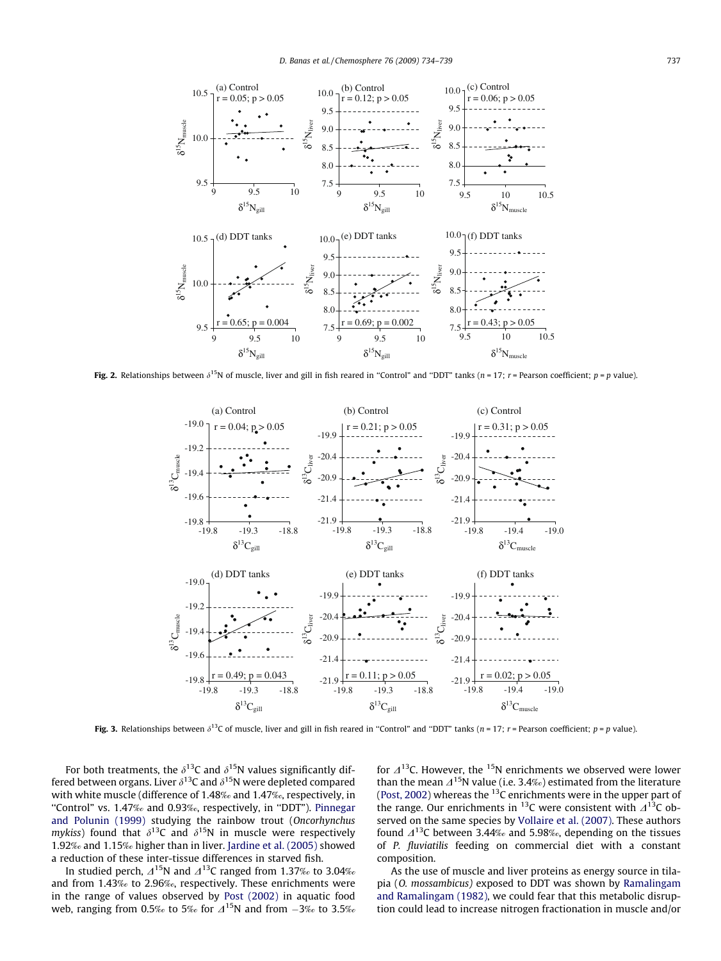<span id="page-3-0"></span>

Fig. 2. Relationships between  $\delta^{15}N$  of muscle, liver and gill in fish reared in "Control" and "DDT" tanks (n = 17; r = Pearson coefficient; p = p value).



Fig. 3. Relationships between  $\delta^{13}$ C of muscle, liver and gill in fish reared in "Control" and "DDT" tanks (n = 17; r = Pearson coefficient; p = p value).

For both treatments, the  $\delta^{13}$ C and  $\delta^{15}$ N values significantly differed between organs. Liver  $\delta^{13}$ C and  $\delta^{15}$ N were depleted compared with white muscle (difference of 1.48‰ and 1.47‰, respectively, in "Control" vs. 1.47‰ and 0.93‰, respectively, in "DDT"). [Pinnegar](#page-5-0) [and Polunin \(1999\)](#page-5-0) studying the rainbow trout (Oncorhynchus mykiss) found that  $\delta^{13}C$  and  $\delta^{15}N$  in muscle were respectively 1.92‰ and 1.15‰ higher than in liver. [Jardine et al. \(2005\)](#page-5-0) showed a reduction of these inter-tissue differences in starved fish.

In studied perch,  $\Delta^{15}N$  and  $\Delta^{13}C$  ranged from 1.37‰ to 3.04‰ and from 1.43‰ to 2.96‰, respectively. These enrichments were in the range of values observed by [Post \(2002\)](#page-5-0) in aquatic food web, ranging from 0.5‰ to 5‰ for  $\varDelta^{15}$ N and from  $-3$ ‰ to 3.5‰

for  $\Delta^{13}$ C. However, the <sup>15</sup>N enrichments we observed were lower than the mean  $\Delta^{15}$ N value (i.e. 3.4‰) estimated from the literature ([Post, 2002](#page-5-0)) whereas the  $^{13}$ C enrichments were in the upper part of the range. Our enrichments in <sup>13</sup>C were consistent with  $\Delta$ <sup>13</sup>C observed on the same species by [Vollaire et al. \(2007\)](#page-5-0). These authors found  $\Delta^{13}$ C between 3.44‰ and 5.98‰, depending on the tissues of P. fluviatilis feeding on commercial diet with a constant composition.

As the use of muscle and liver proteins as energy source in tilapia (O. mossambicus) exposed to DDT was shown by [Ramalingam](#page-5-0) [and Ramalingam \(1982\),](#page-5-0) we could fear that this metabolic disruption could lead to increase nitrogen fractionation in muscle and/or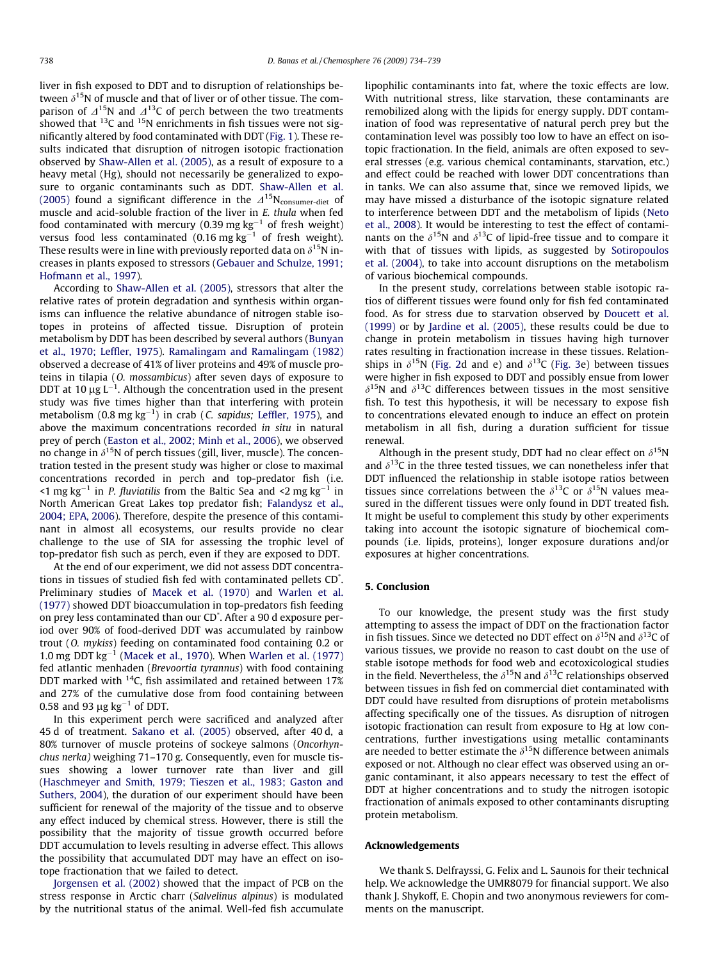liver in fish exposed to DDT and to disruption of relationships between  $\delta^{15}N$  of muscle and that of liver or of other tissue. The comparison of  $\Delta^{15}N$  and  $\Delta^{13}C$  of perch between the two treatments showed that  $^{13}$ C and  $^{15}$ N enrichments in fish tissues were not significantly altered by food contaminated with DDT ([Fig. 1\)](#page-2-0). These results indicated that disruption of nitrogen isotopic fractionation observed by [Shaw-Allen et al. \(2005\),](#page-5-0) as a result of exposure to a heavy metal (Hg), should not necessarily be generalized to exposure to organic contaminants such as DDT. [Shaw-Allen et al.](#page-5-0) [\(2005\)](#page-5-0) found a significant difference in the  $\Lambda^{15}N_{\rm consumer-diet}$  of muscle and acid-soluble fraction of the liver in E. thula when fed food contaminated with mercury (0.39 mg kg $^{-1}$  of fresh weight) versus food less contaminated (0.16 mg kg $^{-1}$  of fresh weight). These results were in line with previously reported data on  $\delta^{15}$ N increases in plants exposed to stressors ([Gebauer and Schulze, 1991;](#page-5-0) [Hofmann et al., 1997\)](#page-5-0).

According to [Shaw-Allen et al. \(2005\)](#page-5-0), stressors that alter the relative rates of protein degradation and synthesis within organisms can influence the relative abundance of nitrogen stable isotopes in proteins of affected tissue. Disruption of protein metabolism by DDT has been described by several authors [\(Bunyan](#page-5-0) [et al., 1970; Leffler, 1975](#page-5-0)). [Ramalingam and Ramalingam \(1982\)](#page-5-0) observed a decrease of 41% of liver proteins and 49% of muscle proteins in tilapia (O. mossambicus) after seven days of exposure to DDT at 10  $\mu$ g L<sup>-1</sup>. Although the concentration used in the present study was five times higher than that interfering with protein metabolism  $(0.8 \text{ mg kg}^{-1})$  in crab  $(C. \text{ sapidus; Leftler, 1975})$ , and above the maximum concentrations recorded in situ in natural prey of perch [\(Easton et al., 2002; Minh et al., 2006](#page-5-0)), we observed no change in  $\delta^{15}N$  of perch tissues (gill, liver, muscle). The concentration tested in the present study was higher or close to maximal concentrations recorded in perch and top-predator fish (i.e. <1 mg kg<sup>-1</sup> in *P. fluviatilis* from the Baltic Sea and <2 mg kg<sup>-1</sup> in North American Great Lakes top predator fish; [Falandysz et al.,](#page-5-0) [2004; EPA, 2006\)](#page-5-0). Therefore, despite the presence of this contaminant in almost all ecosystems, our results provide no clear challenge to the use of SIA for assessing the trophic level of top-predator fish such as perch, even if they are exposed to DDT.

At the end of our experiment, we did not assess DDT concentrations in tissues of studied fish fed with contaminated pellets CD\* . Preliminary studies of [Macek et al. \(1970\)](#page-5-0) and [Warlen et al.](#page-5-0) [\(1977\)](#page-5-0) showed DDT bioaccumulation in top-predators fish feeding on prey less contaminated than our CD\* . After a 90 d exposure period over 90% of food-derived DDT was accumulated by rainbow trout (O. mykiss) feeding on contaminated food containing 0.2 or 1.0 mg DDT  $kg^{-1}$  [\(Macek et al., 1970\)](#page-5-0). When [Warlen et al. \(1977\)](#page-5-0) fed atlantic menhaden (Brevoortia tyrannus) with food containing DDT marked with <sup>14</sup>C, fish assimilated and retained between 17% and 27% of the cumulative dose from food containing between 0.58 and 93  $\mu$ g kg $^{-1}$  of DDT.

In this experiment perch were sacrificed and analyzed after 45 d of treatment. [Sakano et al. \(2005\)](#page-5-0) observed, after 40 d, a 80% turnover of muscle proteins of sockeye salmons (Oncorhynchus nerka) weighing 71–170 g. Consequently, even for muscle tissues showing a lower turnover rate than liver and gill ([Haschmeyer and Smith, 1979; Tieszen et al., 1983; Gaston and](#page-5-0) [Suthers, 2004\)](#page-5-0), the duration of our experiment should have been sufficient for renewal of the majority of the tissue and to observe any effect induced by chemical stress. However, there is still the possibility that the majority of tissue growth occurred before DDT accumulation to levels resulting in adverse effect. This allows the possibility that accumulated DDT may have an effect on isotope fractionation that we failed to detect.

[Jorgensen et al. \(2002\)](#page-5-0) showed that the impact of PCB on the stress response in Arctic charr (Salvelinus alpinus) is modulated by the nutritional status of the animal. Well-fed fish accumulate

lipophilic contaminants into fat, where the toxic effects are low. With nutritional stress, like starvation, these contaminants are remobilized along with the lipids for energy supply. DDT contamination of food was representative of natural perch prey but the contamination level was possibly too low to have an effect on isotopic fractionation. In the field, animals are often exposed to several stresses (e.g. various chemical contaminants, starvation, etc.) and effect could be reached with lower DDT concentrations than in tanks. We can also assume that, since we removed lipids, we may have missed a disturbance of the isotopic signature related to interference between DDT and the metabolism of lipids ([Neto](#page-5-0) [et al., 2008](#page-5-0)). It would be interesting to test the effect of contaminants on the  $\delta^{15}N$  and  $\delta^{13}C$  of lipid-free tissue and to compare it with that of tissues with lipids, as suggested by [Sotiropoulos](#page-5-0) [et al. \(2004\),](#page-5-0) to take into account disruptions on the metabolism of various biochemical compounds.

In the present study, correlations between stable isotopic ratios of different tissues were found only for fish fed contaminated food. As for stress due to starvation observed by [Doucett et al.](#page-5-0) [\(1999\)](#page-5-0) or by [Jardine et al. \(2005\),](#page-5-0) these results could be due to change in protein metabolism in tissues having high turnover rates resulting in fractionation increase in these tissues. Relationships in  $\delta^{15}N$  ([Fig. 2](#page-3-0)d and e) and  $\delta^{13}C$  ([Fig. 3](#page-3-0)e) between tissues were higher in fish exposed to DDT and possibly ensue from lower  $\delta^{15}$ N and  $\delta^{13}$ C differences between tissues in the most sensitive fish. To test this hypothesis, it will be necessary to expose fish to concentrations elevated enough to induce an effect on protein metabolism in all fish, during a duration sufficient for tissue renewal.

Although in the present study, DDT had no clear effect on  $\delta^{15}N$ and  $\delta^{13}$ C in the three tested tissues, we can nonetheless infer that DDT influenced the relationship in stable isotope ratios between tissues since correlations between the  $\delta^{13}$ C or  $\delta^{15}$ N values measured in the different tissues were only found in DDT treated fish. It might be useful to complement this study by other experiments taking into account the isotopic signature of biochemical compounds (i.e. lipids, proteins), longer exposure durations and/or exposures at higher concentrations.

## 5. Conclusion

To our knowledge, the present study was the first study attempting to assess the impact of DDT on the fractionation factor in fish tissues. Since we detected no DDT effect on  $\delta^{15}N$  and  $\delta^{13}C$  of various tissues, we provide no reason to cast doubt on the use of stable isotope methods for food web and ecotoxicological studies in the field. Nevertheless, the  $\delta^{15}N$  and  $\delta^{13}C$  relationships observed between tissues in fish fed on commercial diet contaminated with DDT could have resulted from disruptions of protein metabolisms affecting specifically one of the tissues. As disruption of nitrogen isotopic fractionation can result from exposure to Hg at low concentrations, further investigations using metallic contaminants are needed to better estimate the  $\delta^{15}N$  difference between animals exposed or not. Although no clear effect was observed using an organic contaminant, it also appears necessary to test the effect of DDT at higher concentrations and to study the nitrogen isotopic fractionation of animals exposed to other contaminants disrupting protein metabolism.

#### Acknowledgements

We thank S. Delfrayssi, G. Felix and L. Saunois for their technical help. We acknowledge the UMR8079 for financial support. We also thank J. Shykoff, E. Chopin and two anonymous reviewers for comments on the manuscript.